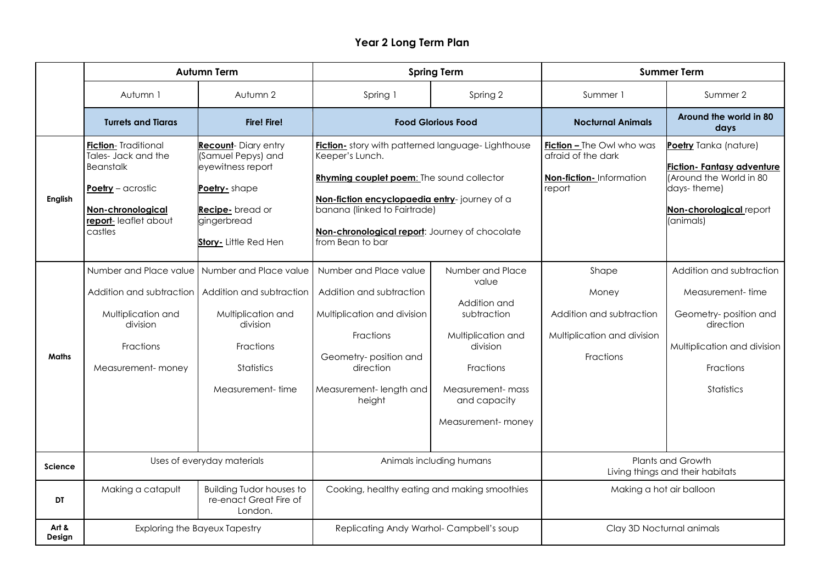## **Year 2 Long Term Plan**

|                 | <b>Autumn Term</b>                                                                                                                                                          |                                                                                                                                                  | <b>Spring Term</b>                                                                                                                                                                                                                                                               |                                                                                                                                                                   | <b>Summer Term</b>                                                                          |                                                                                                                                                            |
|-----------------|-----------------------------------------------------------------------------------------------------------------------------------------------------------------------------|--------------------------------------------------------------------------------------------------------------------------------------------------|----------------------------------------------------------------------------------------------------------------------------------------------------------------------------------------------------------------------------------------------------------------------------------|-------------------------------------------------------------------------------------------------------------------------------------------------------------------|---------------------------------------------------------------------------------------------|------------------------------------------------------------------------------------------------------------------------------------------------------------|
|                 | Autumn 1                                                                                                                                                                    | Autumn 2                                                                                                                                         | Spring 1                                                                                                                                                                                                                                                                         | Spring 2                                                                                                                                                          | Summer 1                                                                                    | Summer 2                                                                                                                                                   |
|                 | <b>Turrets and Tiaras</b>                                                                                                                                                   | <b>Fire! Fire!</b>                                                                                                                               |                                                                                                                                                                                                                                                                                  | <b>Food Glorious Food</b>                                                                                                                                         | <b>Nocturnal Animals</b>                                                                    | Around the world in 80<br>days                                                                                                                             |
| English         | <b>Fiction-</b> Traditional<br>Tales- Jack and the<br><b>Beanstalk</b><br>Poetry - acrostic<br>Non-chronological<br>report-leaflet about<br>castles                         | <b>Recount-Diary entry</b><br>(Samuel Pepys) and<br>eyewitness report<br>Poetry-shape<br>Recipe-bread or<br>gingerbread<br>Story- Little Red Hen | <b>Fiction</b> - story with patterned language- Lighthouse<br>Keeper's Lunch.<br>Rhyming couplet poem: The sound collector<br>Non-fiction encyclopaedia entry-journey of a<br>banana (linked to Fairtrade)<br>Non-chronological report: Journey of chocolate<br>from Bean to bar |                                                                                                                                                                   | <b>Fiction - The Owl who was</b><br>afraid of the dark<br>Non-fiction-Information<br>report | Poetry Tanka (nature)<br><b>Fiction- Fantasy adventure</b><br>(Around the World in 80<br>days-theme)<br>Non-chorological report<br>(animals)               |
| <b>Maths</b>    | Number and Place value   Number and Place value<br>Addition and subtraction   Addition and subtraction<br>Multiplication and<br>division<br>Fractions<br>Measurement- money | Multiplication and<br>division<br>Fractions<br><b>Statistics</b><br>Measurement-time                                                             | Number and Place value<br>Addition and subtraction<br>Multiplication and division<br><b>Fractions</b><br>Geometry-position and<br>direction<br>Measurement-length and<br>height                                                                                                  | Number and Place<br>value<br>Addition and<br>subtraction<br>Multiplication and<br>division<br>Fractions<br>Measurement-mass<br>and capacity<br>Measurement- money | Shape<br>Money<br>Addition and subtraction<br>Multiplication and division<br>Fractions      | Addition and subtraction<br>Measurement-time<br>Geometry-position and<br>direction<br>Multiplication and division<br><b>Fractions</b><br><b>Statistics</b> |
| <b>Science</b>  | Uses of everyday materials                                                                                                                                                  |                                                                                                                                                  | Animals including humans                                                                                                                                                                                                                                                         |                                                                                                                                                                   | Plants and Growth<br>Living things and their habitats                                       |                                                                                                                                                            |
| DT              | Making a catapult                                                                                                                                                           | <b>Building Tudor houses to</b><br>re-enact Great Fire of<br>London.                                                                             | Cooking, healthy eating and making smoothies                                                                                                                                                                                                                                     |                                                                                                                                                                   | Making a hot air balloon                                                                    |                                                                                                                                                            |
| Art &<br>Design | <b>Exploring the Bayeux Tapestry</b>                                                                                                                                        |                                                                                                                                                  | Replicating Andy Warhol-Campbell's soup                                                                                                                                                                                                                                          |                                                                                                                                                                   | Clay 3D Nocturnal animals                                                                   |                                                                                                                                                            |